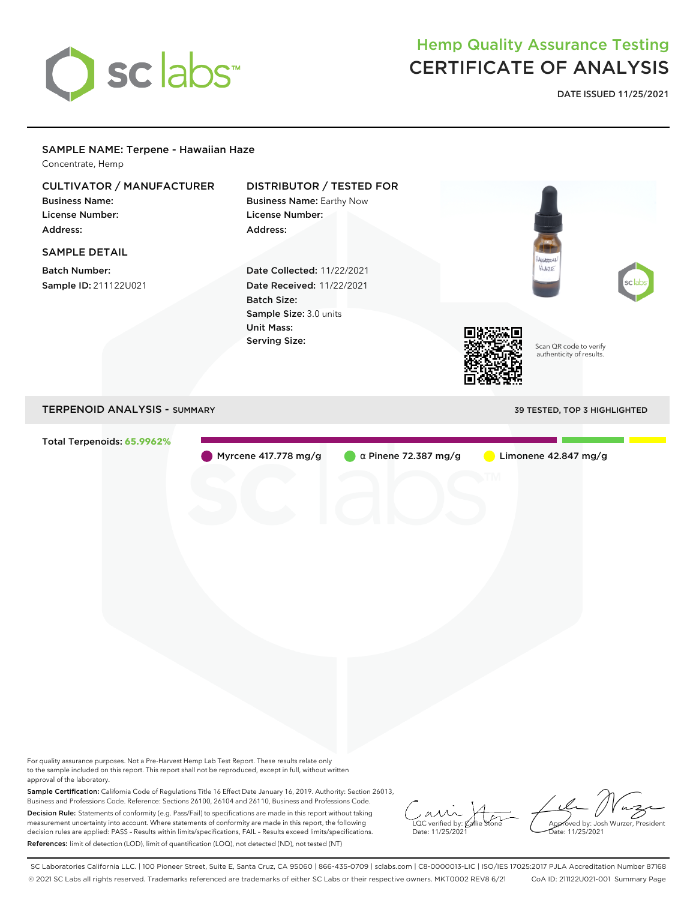

## Hemp Quality Assurance Testing CERTIFICATE OF ANALYSIS

**DATE ISSUED 11/25/2021**

## SAMPLE NAME: Terpene - Hawaiian Haze Concentrate, Hemp CULTIVATOR / MANUFACTURER DISTRIBUTOR / TESTED FOR Business Name: Business Name: Earthy Now License Number: License Number: Address: Address: SAMPLE DETAIL Batch Number: Date Collected: 11/22/2021 HAZE Sample ID: 211122U021 Date Received: 11/22/2021 Batch Size: Sample Size: 3.0 units Unit Mass: Serving Size: Scan QR code to verify authenticity of results. TERPENOID ANALYSIS - SUMMARY 39 TESTED, TOP 3 HIGHLIGHTED Total Terpenoids: **65.9962%** Myrcene 417.778 mg/g  $\alpha$  Pinene 72.387 mg/g Limonene 42.847 mg/g For quality assurance purposes. Not a Pre-Harvest Hemp Lab Test Report. These results relate only

to the sample included on this report. This report shall not be reproduced, except in full, without written approval of the laboratory.

Sample Certification: California Code of Regulations Title 16 Effect Date January 16, 2019. Authority: Section 26013, Business and Professions Code. Reference: Sections 26100, 26104 and 26110, Business and Professions Code. Decision Rule: Statements of conformity (e.g. Pass/Fail) to specifications are made in this report without taking measurement uncertainty into account. Where statements of conformity are made in this report, the following decision rules are applied: PASS – Results within limits/specifications, FAIL – Results exceed limits/specifications. References: limit of detection (LOD), limit of quantification (LOQ), not detected (ND), not tested (NT)

 $\overline{\text{LOC}}$  verified by:  $\mathcal C$ Date: 11/25/2021

Approved by: Josh Wurzer, President ate: 11/25/2021

SC Laboratories California LLC. | 100 Pioneer Street, Suite E, Santa Cruz, CA 95060 | 866-435-0709 | sclabs.com | C8-0000013-LIC | ISO/IES 17025:2017 PJLA Accreditation Number 87168 © 2021 SC Labs all rights reserved. Trademarks referenced are trademarks of either SC Labs or their respective owners. MKT0002 REV8 6/21 CoA ID: 211122U021-001 Summary Page